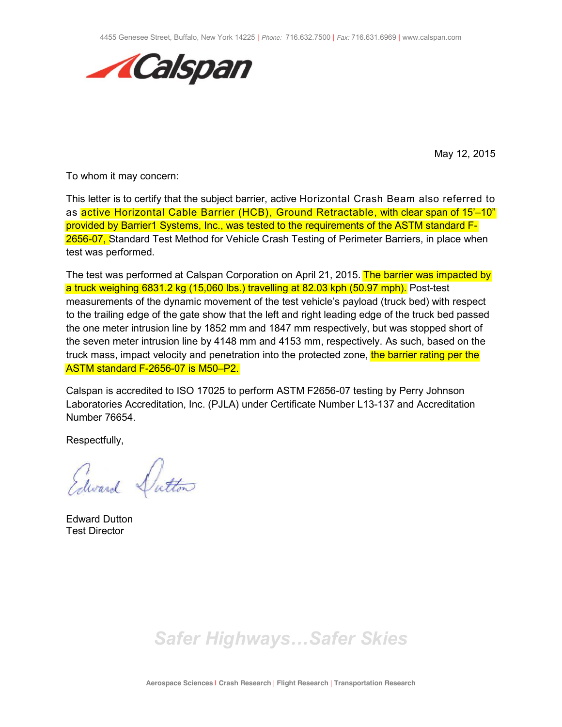

May 12, 2015

To whom it may concern:

This letter is to certify that the subject barrier, active Horizontal Crash Beam also referred to as active Horizontal Cable Barrier (HCB), Ground Retractable, with clear span of 15'–10" provided by Barrier1 Systems, Inc., was tested to the requirements of the ASTM standard F-2656-07, Standard Test Method for Vehicle Crash Testing of Perimeter Barriers, in place when test was performed.

The test was performed at Calspan Corporation on April 21, 2015. The barrier was impacted by a truck weighing 6831.2 kg (15,060 lbs.) travelling at 82.03 kph (50.97 mph). Post-test measurements of the dynamic movement of the test vehicle's payload (truck bed) with respect to the trailing edge of the gate show that the left and right leading edge of the truck bed passed the one meter intrusion line by 1852 mm and 1847 mm respectively, but was stopped short of the seven meter intrusion line by 4148 mm and 4153 mm, respectively. As such, based on the truck mass, impact velocity and penetration into the protected zone, the barrier rating per the ASTM standard F-2656-07 is M50–P2.

Calspan is accredited to ISO 17025 to perform ASTM F2656-07 testing by Perry Johnson Laboratories Accreditation, Inc. (PJLA) under Certificate Number L13-137 and Accreditation Number 76654.

Respectfully,

Edward Dutton

Edward Dutton Test Director